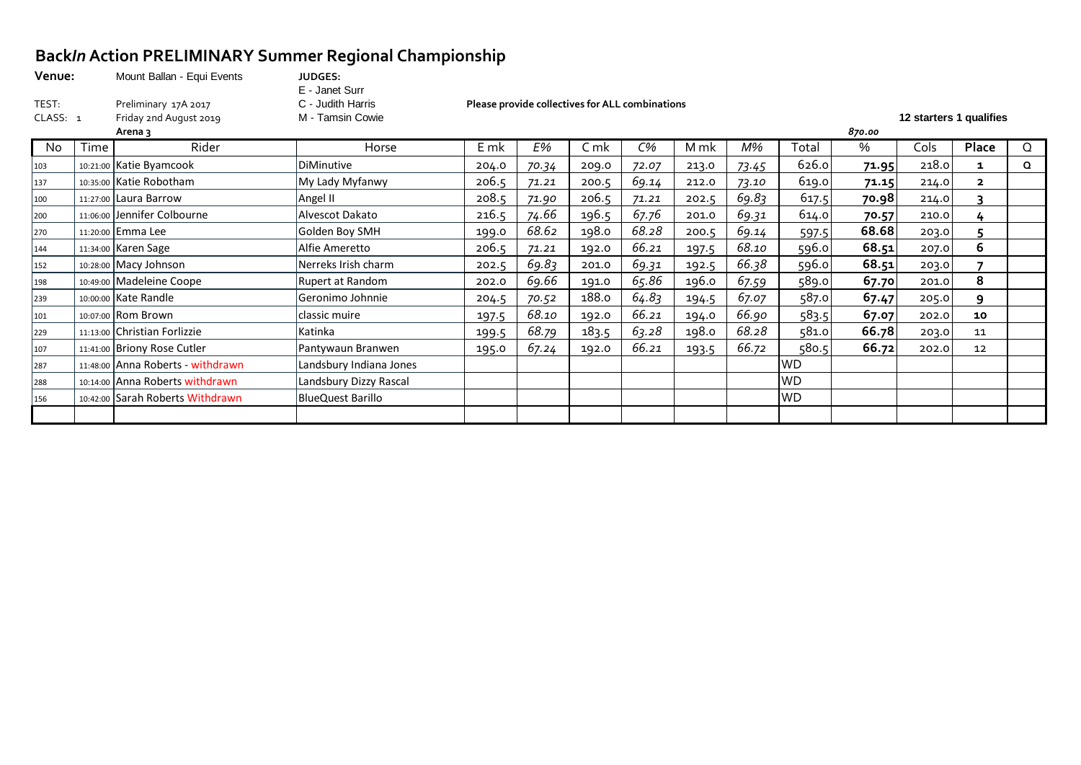### **Back***In* **Action PRELIMINARY Summer Regional Championship**

| Venue:<br>TEST: |      | Mount Ballan - Equi Events<br>Preliminary 17A 2017 | <b>JUDGES:</b><br>E - Janet Surr<br>C - Judith Harris |       |       | Please provide collectives for ALL combinations |       |       |       |           |        |                         |                |          |
|-----------------|------|----------------------------------------------------|-------------------------------------------------------|-------|-------|-------------------------------------------------|-------|-------|-------|-----------|--------|-------------------------|----------------|----------|
| CLASS: 1        |      | Friday 2nd August 2019<br>Arena 3                  | M - Tamsin Cowie                                      |       |       |                                                 |       |       |       |           | 870.00 | 12 starters 1 qualifies |                |          |
| No.             | Time | Rider                                              | Horse                                                 | E mk  | E%    | C mk                                            | $C\%$ | M mk  | M%    | Total     | %      | Cols                    | Place          | Q        |
| 103             |      | 10:21:00 Katie Byamcook                            | <b>DiMinutive</b>                                     | 204.0 | 70.34 | 209.0                                           | 72.07 | 213.0 | 73.45 | 626.0     | 71.95  | 218.0                   | 1              | $\Omega$ |
| 137             |      | 10:35:00 Katie Robotham                            | My Lady Myfanwy                                       | 206.5 | 71.21 | 200.5                                           | 69.14 | 212.0 | 73.10 | 619.0     | 71.15  | 214.0                   | $\overline{2}$ |          |
| 100             |      | $11:27:00$ Laura Barrow                            | Angel II                                              | 208.5 | 71.90 | 206.5                                           | 71.21 | 202.5 | 69.83 | 617.5     | 70.98  | 214.0                   | ิว             |          |
| 200             |      | 11:06:00 Jennifer Colbourne                        | Alvescot Dakato                                       | 216.5 | 74.66 | 196.5                                           | 67.76 | 201.0 | 69.31 | 614.0     | 70.57  | 210.0                   | 4              |          |
| 270             |      | 11:20:00 Emma Lee                                  | Golden Boy SMH                                        | 199.0 | 68.62 | 198.0                                           | 68.28 | 200.5 | 69.14 | 597.5     | 68.68  | 203.0                   |                |          |
| 144             |      | 11:34:00 Karen Sage                                | Alfie Ameretto                                        | 206.5 | 71.21 | 192.0                                           | 66.21 | 197.5 | 68.10 | 596.0     | 68.51  | 207.0                   | 6              |          |
| 152             |      | $10:28:00$ Macy Johnson                            | Nerreks Irish charm                                   | 202.5 | 69.83 | 201.0                                           | 69.31 | 192.5 | 66.38 | 596.0     | 68.51  | 203.0                   |                |          |
| 198             |      | 10:49:00 Madeleine Coope                           | Rupert at Random                                      | 202.0 | 69.66 | 191.0                                           | 65.86 | 196.0 | 67.59 | 589.0     | 67.70  | 201.0                   | 8              |          |
| 239             |      | 10:00:00 Kate Randle                               | Geronimo Johnnie                                      | 204.5 | 70.52 | 188.0                                           | 64.83 | 194.5 | 67.07 | 587.0     | 67.47  | 205.0                   | 9              |          |
| 101             |      | 10:07:00 Rom Brown                                 | classic muire                                         | 197.5 | 68.10 | 192.0                                           | 66.21 | 194.0 | 66.90 | 583.5     | 67.07  | 202.0                   | 10             |          |
| 229             |      | 11:13:00 Christian Forlizzie                       | Katinka                                               | 199.5 | 68.79 | 183.5                                           | 63.28 | 198.0 | 68.28 | 581.0     | 66.78  | 203.0                   | 11             |          |
| 107             |      | 11:41:00 Briony Rose Cutler                        | Pantywaun Branwen                                     | 195.0 | 67.24 | 192.0                                           | 66.21 | 193.5 | 66.72 | 580.5     | 66.72  | 202.0                   | 12             |          |
| 287             |      | 11:48:00 Anna Roberts - withdrawn                  | Landsbury Indiana Jones                               |       |       |                                                 |       |       |       | <b>WD</b> |        |                         |                |          |
| 288             |      | 10:14:00 Anna Roberts withdrawn                    | Landsbury Dizzy Rascal                                |       |       |                                                 |       |       |       | <b>WD</b> |        |                         |                |          |
| 156             |      | 10:42:00 Sarah Roberts Withdrawn                   | <b>BlueQuest Barillo</b>                              |       |       |                                                 |       |       |       | <b>WD</b> |        |                         |                |          |
|                 |      |                                                    |                                                       |       |       |                                                 |       |       |       |           |        |                         |                |          |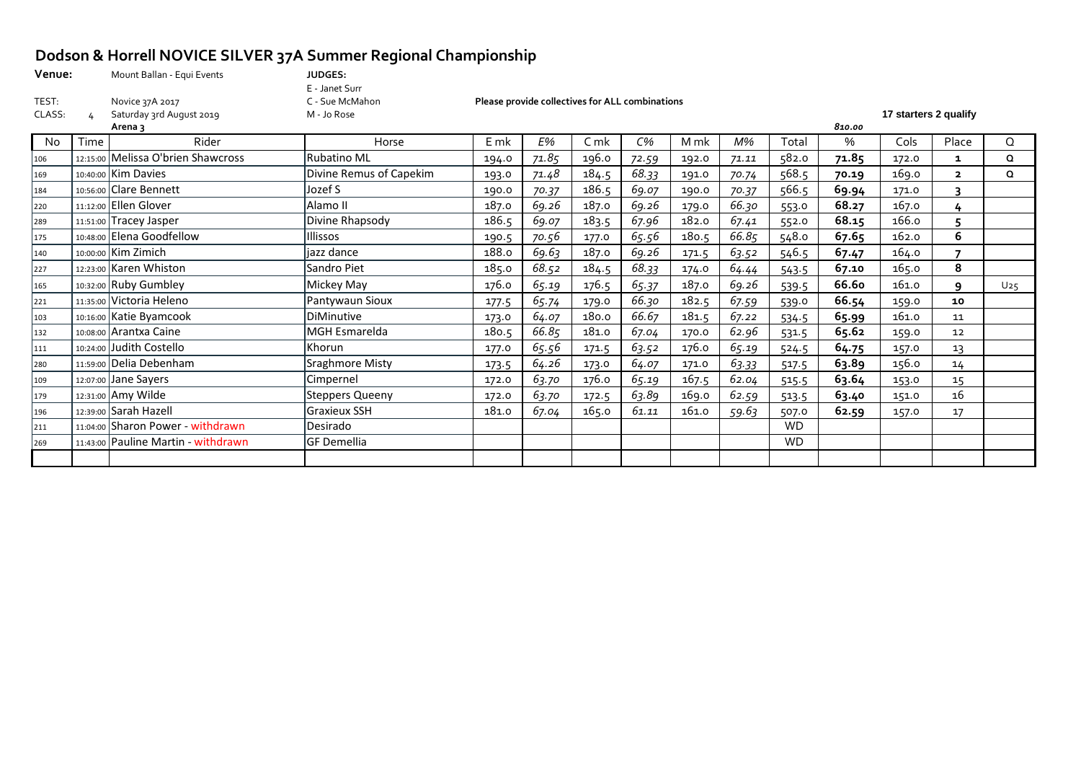# **Dodson & Horrell NOVICE SILVER 37A Summer Regional Championship**<br>Venue: Mount Ballan - Equi Events

| Venue: | Mount Ballan - Equi Events | <b>JUDGES:</b>  |                                                 |                       |
|--------|----------------------------|-----------------|-------------------------------------------------|-----------------------|
|        |                            | E - Janet Surr  |                                                 |                       |
| TEST:  | Novice 37A 2017            | C - Sue McMahon | Please provide collectives for ALL combinations |                       |
| CLASS: | Saturday 3rd August 2019   | M - Jo Rose     |                                                 | 17 starters 2 qualify |

|     |      | Arena 3                             |                         |       |       |       |       |       |       |           | 810.00 |       |                          |          |
|-----|------|-------------------------------------|-------------------------|-------|-------|-------|-------|-------|-------|-----------|--------|-------|--------------------------|----------|
| No. | Time | Rider                               | Horse                   | E mk  | E%    | C mk  | $C\%$ | M mk  | M%    | Total     | %      | Cols  | Place                    | $\Omega$ |
| 106 |      | 12:15:00 Melissa O'brien Shawcross  | <b>Rubatino ML</b>      | 194.0 | 71.85 | 196.0 | 72.59 | 192.0 | 71.11 | 582.0     | 71.85  | 172.0 | 1                        | Q        |
| 169 |      | 10:40:00 Kim Davies                 | Divine Remus of Capekim | 193.0 | 71.48 | 184.5 | 68.33 | 191.0 | 70.74 | 568.5     | 70.19  | 169.0 | $\mathbf{2}$             | Q        |
| 184 |      | 10:56:00 Clare Bennett              | Jozef S                 | 190.0 | 70.37 | 186.5 | 69.07 | 190.0 | 70.37 | 566.5     | 69.94  | 171.0 | 3                        |          |
| 220 |      | 11:12:00 Ellen Glover               | Alamo II                | 187.0 | 69.26 | 187.0 | 69.26 | 179.0 | 66.30 | 553.0     | 68.27  | 167.0 | 4                        |          |
| 289 |      | 11:51:00 Tracey Jasper              | Divine Rhapsody         | 186.5 | 69.07 | 183.5 | 67.96 | 182.0 | 67.41 | 552.0     | 68.15  | 166.0 |                          |          |
| 175 |      | 10:48:00 Elena Goodfellow           | llissos                 | 190.5 | 70.56 | 177.0 | 65.56 | 180.5 | 66.85 | 548.0     | 67.65  | 162.0 | 6                        |          |
| 140 |      | 10:00:00 Kim Zimich                 | jazz dance              | 188.0 | 69.63 | 187.0 | 69.26 | 171.5 | 63.52 | 546.5     | 67.47  | 164.0 | $\overline{\phantom{a}}$ |          |
| 227 |      | 12:23:00 Karen Whiston              | Sandro Piet             | 185.0 | 68.52 | 184.5 | 68.33 | 174.0 | 64.44 | 543.5     | 67.10  | 165.0 | 8                        |          |
| 165 |      | 10:32:00 Ruby Gumbley               | Mickey May              | 176.0 | 65.19 | 176.5 | 65.37 | 187.0 | 69.26 | 539.5     | 66.6o  | 161.0 | ٩                        | $U_2$ 5  |
| 221 |      | 11:35:00 Victoria Heleno            | Pantywaun Sioux         | 177.5 | 65.74 | 179.0 | 66.30 | 182.5 | 67.59 | 539.0     | 66.54  | 159.0 | 10                       |          |
| 103 |      | 10:16:00 Katie Byamcook             | DiMinutive              | 173.0 | 64.07 | 180.0 | 66.67 | 181.5 | 67.22 | 534.5     | 65.99  | 161.0 | 11                       |          |
| 132 |      | 10:08:00 Arantxa Caine              | MGH Esmarelda           | 180.5 | 66.85 | 181.0 | 67.04 | 170.0 | 62.96 | 531.5     | 65.62  | 159.0 | 12                       |          |
| 111 |      | 10:24:00 Judith Costello            | Khorun                  | 177.0 | 65.56 | 171.5 | 63.52 | 176.0 | 65.19 | 524.5     | 64.75  | 157.0 | 13                       |          |
| 280 |      | 11:59:00 Delia Debenham             | Sraghmore Misty         | 173.5 | 64.26 | 173.0 | 64.07 | 171.0 | 63.33 | 517.5     | 63.89  | 156.0 | 14                       |          |
| 109 |      | 12:07:00 Jane Sayers                | Cimpernel               | 172.0 | 63.70 | 176.0 | 65.19 | 167.5 | 62.04 | 515.5     | 63.64  | 153.0 | 15                       |          |
| 179 |      | 12:31:00 Amy Wilde                  | <b>Steppers Queeny</b>  | 172.0 | 63.70 | 172.5 | 63.89 | 169.0 | 62.59 | 513.5     | 63.40  | 151.0 | 16                       |          |
| 196 |      | 12:39:00 Sarah Hazell               | Graxieux SSH            | 181.0 | 67.04 | 165.0 | 61.11 | 161.0 | 59.63 | 507.0     | 62.59  | 157.0 | 17                       |          |
| 211 |      | 11:04:00 Sharon Power - withdrawn   | Desirado                |       |       |       |       |       |       | <b>WD</b> |        |       |                          |          |
| 269 |      | 11:43:00 Pauline Martin - withdrawn | <b>GF Demellia</b>      |       |       |       |       |       |       | <b>WD</b> |        |       |                          |          |
|     |      |                                     |                         |       |       |       |       |       |       |           |        |       |                          |          |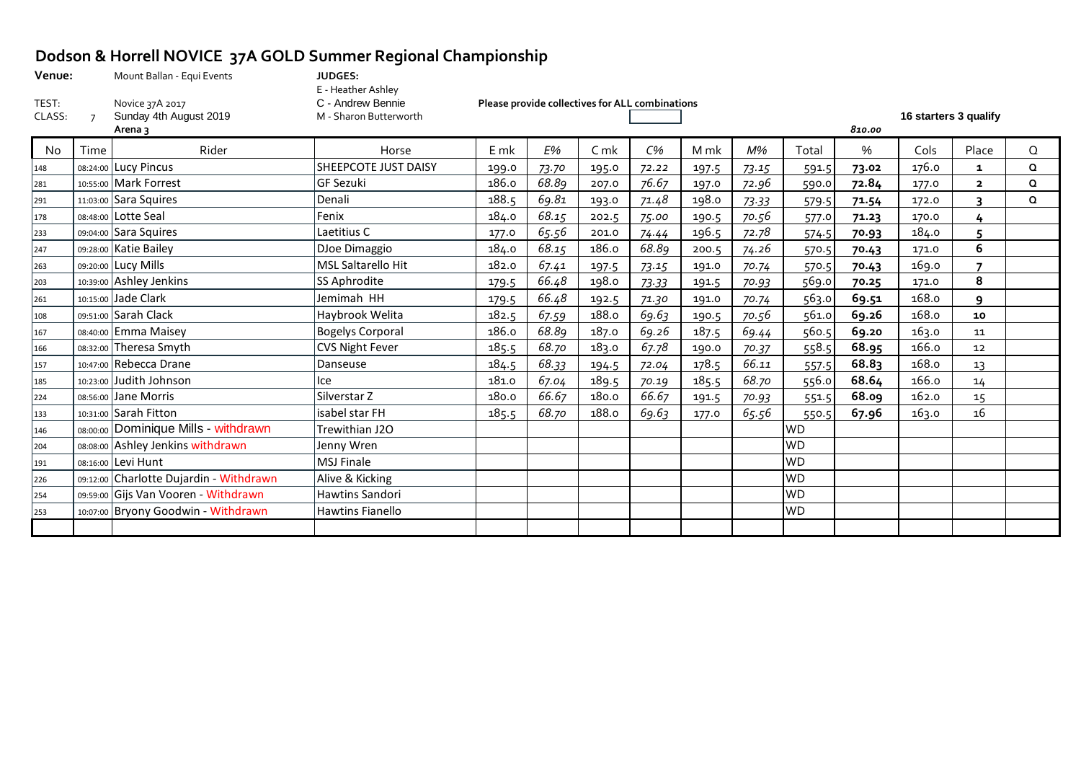# **Dodson & Horrell NOVICE 37A GOLD Summer Regional Championship**

| Venue:          |          | Mount Ballan - Equi Events                           | JUDGES:                                                           |       |                                                 |                |       |       |       |           |        |                       |                |          |
|-----------------|----------|------------------------------------------------------|-------------------------------------------------------------------|-------|-------------------------------------------------|----------------|-------|-------|-------|-----------|--------|-----------------------|----------------|----------|
| TEST:<br>CLASS: |          | Novice 37A 2017<br>Sunday 4th August 2019<br>Arena 3 | E - Heather Ashley<br>C - Andrew Bennie<br>M - Sharon Butterworth |       | Please provide collectives for ALL combinations |                |       |       |       |           | 810.00 | 16 starters 3 qualify |                |          |
| No              | Time     | Rider                                                | Horse                                                             | E mk  | E%                                              | C <sub>m</sub> | C%    | M mk  | M%    | Total     | %      | Cols                  | Place          | $\Omega$ |
| 148             |          | 08:24:00 Lucy Pincus                                 | SHEEPCOTE JUST DAISY                                              | 199.0 | 73.70                                           | 195.0          | 72.22 | 197.5 | 73.15 | 591.5     | 73.02  | 176.0                 | 1              | $\Omega$ |
| 281             |          | 10:55:00 Mark Forrest                                | <b>GF Sezuki</b>                                                  | 186.0 | 68.89                                           | 207.0          | 76.67 | 197.0 | 72.96 | 590.0     | 72.84  | 177.0                 | $\overline{2}$ | $\Omega$ |
| 291             |          | 11:03:00 Sara Squires                                | Denali                                                            | 188.5 | 69.81                                           | 193.0          | 71.48 | 198.0 | 73.33 | 579.5     | 71.54  | 172.0                 | २              | $\Omega$ |
| 178             |          | 08:48:00 Lotte Seal                                  | Fenix                                                             | 184.0 | 68.15                                           | 202.5          | 75.00 | 190.5 | 70.56 | 577.0     | 71.23  | 170.0                 | 4              |          |
| 233             |          | 09:04:00 Sara Squires                                | Laetitius C                                                       | 177.0 | 65.56                                           | 201.0          | 74.44 | 196.5 | 72.78 | 574.5     | 70.93  | 184.0                 |                |          |
| 247             |          | 09:28:00 Katie Bailey                                | DJoe Dimaggio                                                     | 184.0 | 68.15                                           | 186.0          | 68.89 | 200.5 | 74.26 | 570.5     | 70.43  | 171.0                 | 6              |          |
| 263             |          | 09:20:00 Lucy Mills                                  | <b>MSL Saltarello Hit</b>                                         | 182.0 | 67.41                                           | 197.5          | 73.15 | 191.0 | 70.74 | 570.5     | 70.43  | 169.0                 |                |          |
| 203             |          | 10:39:00 Ashley Jenkins                              | SS Aphrodite                                                      | 179.5 | 66.48                                           | 198.0          | 73.33 | 191.5 | 70.93 | 569.0     | 70.25  | 171.0                 | 8              |          |
| 261             |          | 10:15:00 Jade Clark                                  | Jemimah HH                                                        | 179.5 | 66.48                                           | 192.5          | 71.30 | 191.0 | 70.74 | 563.0     | 69.51  | 168.0                 | $\mathbf{q}$   |          |
| 108             |          | 09:51:00 Sarah Clack                                 | Haybrook Welita                                                   | 182.5 | 67.59                                           | 188.0          | 69.63 | 190.5 | 70.56 | 561.0     | 69.26  | 168.0                 | 10             |          |
| 167             |          | 08:40:00 Emma Maisey                                 | <b>Bogelys Corporal</b>                                           | 186.0 | 68.89                                           | 187.0          | 69.26 | 187.5 | 69.44 | 560.5     | 69.20  | 163.0                 | 11             |          |
| 166             | 08:32:00 | Theresa Smyth                                        | <b>CVS Night Fever</b>                                            | 185.5 | 68.70                                           | 183.0          | 67.78 | 190.0 | 70.37 | 558.5     | 68.95  | 166.0                 | 12             |          |
| 157             |          | 10:47:00 Rebecca Drane                               | Danseuse                                                          | 184.5 | 68.33                                           | 194.5          | 72.04 | 178.5 | 66.11 | 557.5     | 68.83  | 168.0                 | 13             |          |
| 185             |          | 10:23:00 Judith Johnson                              | Ice                                                               | 181.0 | 67.04                                           | 189.5          | 70.19 | 185.5 | 68.70 | 556.0     | 68.64  | 166.0                 | 14             |          |
| 224             |          | 08:56:00 Jane Morris                                 | Silverstar Z                                                      | 180.0 | 66.67                                           | 180.0          | 66.67 | 191.5 | 70.93 | 551.5     | 68.09  | 162.0                 | 15             |          |
| 133             |          | 10:31:00 Sarah Fitton                                | isabel star FH                                                    | 185.5 | 68.70                                           | 188.0          | 69.63 | 177.0 | 65.56 | 550.5     | 67.96  | 163.0                 | 16             |          |
| 146             |          | 08:00:00 Dominique Mills - withdrawn                 | Trewithian J2O                                                    |       |                                                 |                |       |       |       | <b>WD</b> |        |                       |                |          |
| 204             | 08:08:00 | Ashley Jenkins withdrawn                             | Jenny Wren                                                        |       |                                                 |                |       |       |       | <b>WD</b> |        |                       |                |          |
| 191             |          | 08:16:00 Levi Hunt                                   | <b>MSJ Finale</b>                                                 |       |                                                 |                |       |       |       | <b>WD</b> |        |                       |                |          |
| 226             |          | 09:12:00 Charlotte Dujardin - Withdrawn              | Alive & Kicking                                                   |       |                                                 |                |       |       |       | <b>WD</b> |        |                       |                |          |
| 254             |          | 09:59:00 Gijs Van Vooren - Withdrawn                 | <b>Hawtins Sandori</b>                                            |       |                                                 |                |       |       |       | <b>WD</b> |        |                       |                |          |
| 253             |          | 10:07:00 Bryony Goodwin - Withdrawn                  | <b>Hawtins Fianello</b>                                           |       |                                                 |                |       |       |       | <b>WD</b> |        |                       |                |          |
|                 |          |                                                      |                                                                   |       |                                                 |                |       |       |       |           |        |                       |                |          |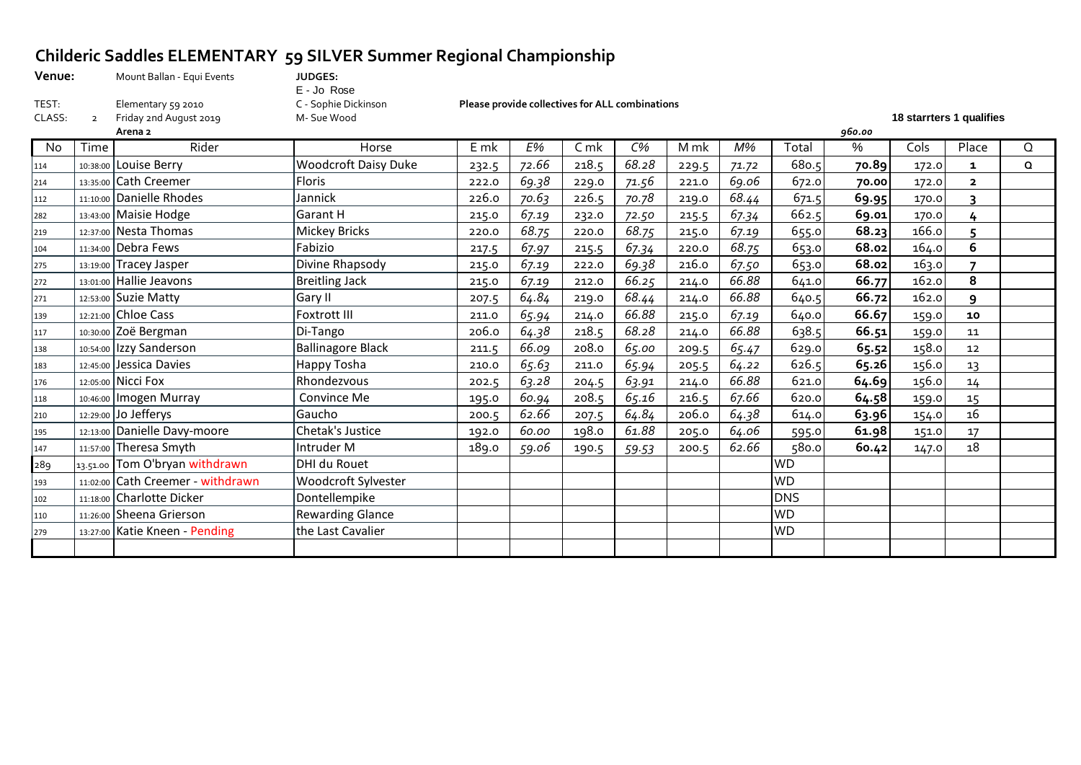## **Childeric Saddles ELEMENTARY 59 SILVER Summer Regional Championship**

| Venue: | Mount Ballan - Equi Events | <b>JUDGES:</b>       |                                                 |             |                          |
|--------|----------------------------|----------------------|-------------------------------------------------|-------------|--------------------------|
|        |                            | E - Jo Rose          |                                                 |             |                          |
| TEST:  | Elementary 59 2010         | C - Sophie Dickinson | Please provide collectives for ALL combinations |             |                          |
| CLASS: | Friday 2nd August 2019     | M- Sue Wood          |                                                 |             | 18 starrters 1 qualifies |
|        |                            |                      |                                                 | $ \sim$ $-$ |                          |

|     |      | Arena 2                           |                             |       |       |                |       |       |       |            | 960.00 |       |                         |   |
|-----|------|-----------------------------------|-----------------------------|-------|-------|----------------|-------|-------|-------|------------|--------|-------|-------------------------|---|
| No. | Time | Rider                             | Horse                       | E mk  | E%    | C <sub>m</sub> | $C\%$ | M mk  | M%    | Total      | %      | Cols  | Place                   | Q |
| 114 |      | 10:38:00 Louise Berry             | <b>Woodcroft Daisy Duke</b> | 232.5 | 72.66 | 218.5          | 68.28 | 229.5 | 71.72 | 680.5      | 70.89  | 172.0 | 1                       | O |
| 214 |      | 13:35:00 Cath Creemer             | <b>Floris</b>               | 222.0 | 69.38 | 229.0          | 71.56 | 221.0 | 69.06 | 672.0      | 70.00  | 172.0 | $\overline{\mathbf{2}}$ |   |
| 112 |      | 11:10:00 Danielle Rhodes          | Jannick                     | 226.0 | 70.63 | 226.5          | 70.78 | 219.0 | 68.44 | 671.5      | 69.95  | 170.0 | 3                       |   |
| 282 |      | 13:43:00 Maisie Hodge             | Garant H                    | 215.0 | 67.19 | 232.0          | 72.50 | 215.5 | 67.34 | 662.5      | 69.01  | 170.0 |                         |   |
| 219 |      | 12:37:00 Nesta Thomas             | Mickey Bricks               | 220.0 | 68.75 | 220.0          | 68.75 | 215.0 | 67.19 | 655.0      | 68.23  | 166.0 |                         |   |
| 104 |      | 11:34:00 Debra Fews               | Fabizio                     | 217.5 | 67.97 | 215.5          | 67.34 | 220.0 | 68.75 | 653.0      | 68.02  | 164.0 | 6                       |   |
| 275 |      | 13:19:00 Tracey Jasper            | Divine Rhapsody             | 215.0 | 67.19 | 222.0          | 69.38 | 216.0 | 67.50 | 653.0      | 68.02  | 163.0 | $\overline{7}$          |   |
| 272 |      | 13:01:00 Hallie Jeavons           | <b>Breitling Jack</b>       | 215.0 | 67.19 | 212.0          | 66.25 | 214.0 | 66.88 | 641.0      | 66.77  | 162.0 | 8                       |   |
| 271 |      | 12:53:00 Suzie Matty              | Gary II                     | 207.5 | 64.84 | 219.0          | 68.44 | 214.0 | 66.88 | 640.5      | 66.72  | 162.0 | 9                       |   |
| 139 |      | 12:21:00 Chloe Cass               | Foxtrott III                | 211.0 | 65.94 | 214.0          | 66.88 | 215.0 | 67.19 | 640.0      | 66.67  | 159.0 | 10                      |   |
| 117 |      | 10:30:00 Zoë Bergman              | Di-Tango                    | 206.0 | 64.38 | 218.5          | 68.28 | 214.0 | 66.88 | 638.5      | 66.51  | 159.0 | 11                      |   |
| 138 |      | 10:54:00 Izzy Sanderson           | <b>Ballinagore Black</b>    | 211.5 | 66.09 | 208.0          | 65.00 | 209.5 | 65.47 | 629.0      | 65.52  | 158.0 | 12                      |   |
| 183 |      | 12:45:00 Jessica Davies           | Happy Tosha                 | 210.0 | 65.63 | 211.0          | 65.94 | 205.5 | 64.22 | 626.5      | 65.26  | 156.0 | 13                      |   |
| 176 |      | 12:05:00 Nicci Fox                | Rhondezvous                 | 202.5 | 63.28 | 204.5          | 63.91 | 214.0 | 66.88 | 621.0      | 64.69  | 156.0 | 14                      |   |
| 118 |      | 10:46:00   Imogen Murray          | Convince Me                 | 195.0 | 60.94 | 208.5          | 65.16 | 216.5 | 67.66 | 620.0      | 64.58  | 159.0 | 15                      |   |
| 210 |      | 12:29:00 Jo Jefferys              | Gaucho                      | 200.5 | 62.66 | 207.5          | 64.84 | 206.0 | 64.38 | 614.0      | 63.96  | 154.0 | 16                      |   |
| 195 |      | 12:13:00 Danielle Davy-moore      | Chetak's Justice            | 192.0 | 60.00 | 198.0          | 61.88 | 205.0 | 64.06 | 595.0      | 61.98  | 151.0 | 17                      |   |
| 147 |      | 11:57:00 Theresa Smyth            | Intruder M                  | 189.0 | 59.06 | 190.5          | 59.53 | 200.5 | 62.66 | 580.0      | 60.42  | 147.0 | 18                      |   |
| 289 |      | 13.51.00 Tom O'bryan withdrawn    | DHI du Rouet                |       |       |                |       |       |       | <b>WD</b>  |        |       |                         |   |
| 193 |      | 11:02:00 Cath Creemer - withdrawn | Woodcroft Sylvester         |       |       |                |       |       |       | <b>WD</b>  |        |       |                         |   |
| 102 |      | 11:18:00 Charlotte Dicker         | Dontellempike               |       |       |                |       |       |       | <b>DNS</b> |        |       |                         |   |
| 110 |      | 11:26:00 Sheena Grierson          | <b>Rewarding Glance</b>     |       |       |                |       |       |       | <b>WD</b>  |        |       |                         |   |
| 279 |      | 13:27:00 Katie Kneen - Pending    | the Last Cavalier           |       |       |                |       |       |       | <b>WD</b>  |        |       |                         |   |
|     |      |                                   |                             |       |       |                |       |       |       |            |        |       |                         |   |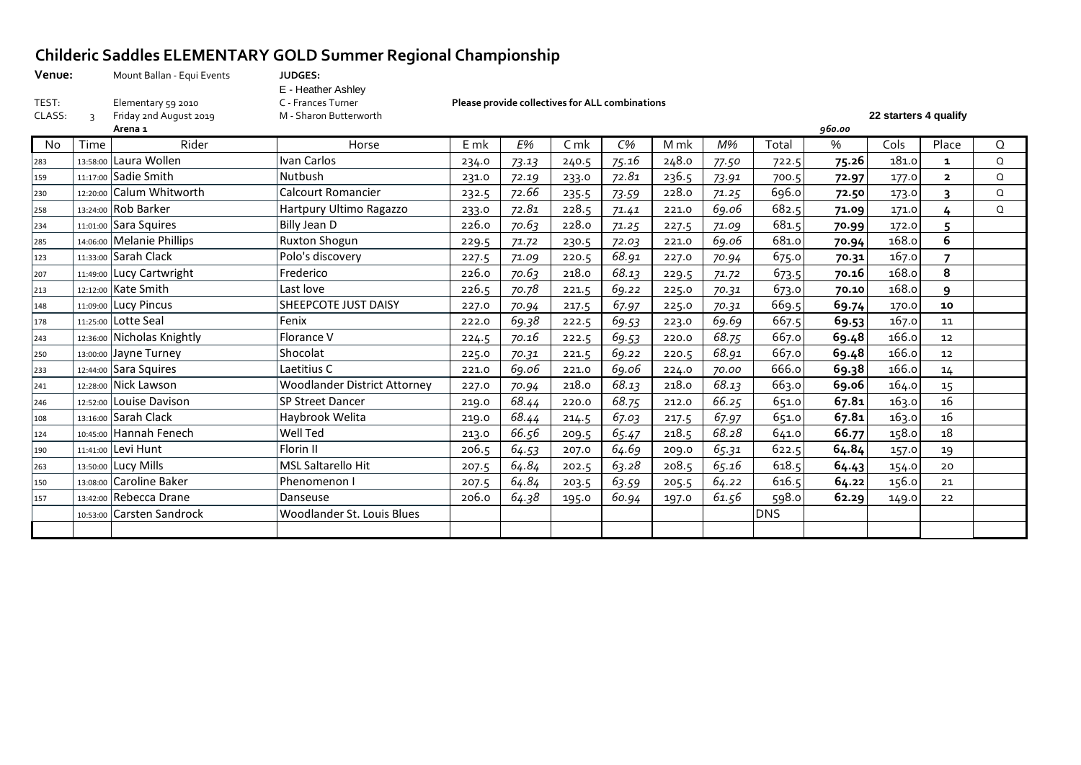### **Childeric Saddles ELEMENTARY GOLD Summer Regional Championship**

| Venue: | Mount Ballan - Equi Events | <b>JUDGES:</b>         |                                                 |        |                       |
|--------|----------------------------|------------------------|-------------------------------------------------|--------|-----------------------|
|        |                            | E - Heather Ashley     |                                                 |        |                       |
| TEST:  | Elementary 59 2010         | C - Frances Turner     | Please provide collectives for ALL combinations |        |                       |
| CLASS: | Friday 2nd August 2019     | M - Sharon Butterworth |                                                 |        | 22 starters 4 qualify |
|        | Arena 1                    |                        |                                                 | 960.00 |                       |

**Arena 1** *960.00* No Time Rider Horse E mk *E%* C mk *C%* M mk *M%* Total % Cols Place Q 13:58:00 Laura Wollen Ivan Carlos 234.0 *73.13* 240.5 *75.16* 248.0 *77.50* 722.5 **75.26** 181.0 **1** Q 11:17:00 Sadie Smith Nutbush 231.0 *72.19* 233.0 *72.81* 236.5 *73.91* 700.5 **72.97** 177.0 **2** Q 12:20:00 Calum Whitworth Calcourt Romancier 232.5 *72.66* 235.5 *73.59* 228.0 *71.25* 696.0 **72.50** 173.0 **3** Q 13:24:00 Rob Barker Hartpury Ultimo Ragazzo 233.0 *72.81* 228.5 *71.41* 221.0 *69.06* 682.5 **71.09** 171.0 **4** Q 11:01:00 Sara Squires Billy Jean D 226.0 *70.63* 228.0 *71.25* 227.5 *71.09* 681.5 **70.99** 172.0 **5** 14:06:00 Melanie Phillips Ruxton Shogun 229.5 *71.72* 230.5 *72.03* 221.0 *69.06* 681.0 **70.94** 168.0 **6** 11:33:00 Sarah Clack Polo's discovery 227.5 *71.09* 220.5 *68.91* 227.0 *70.94* 675.0 **70.31** 167.0 **7** 11:49:00 Lucy Cartwright Frederico 226.0 *70.63* 218.0 *68.13* 229.5 *71.72* 673.5 **70.16** 168.0 **8** 12:12:00 Kate Smith Last love 226.5 *70.78* 221.5 *69.22* 225.0 *70.31* 673.0 **70.10** 168.0 **9** 11:09:00 Lucy Pincus SHEEPCOTE JUST DAISY 227.0 *70.94* 217.5 *67.97* 225.0 *70.31* 669.5 **69.74** 170.0 **10** 11:25:00 Lotte Seal Fenix 222.0 *69.38* 222.5 *69.53* 223.0 *69.69* 667.5 **69.53** 167.0 11 12:36:00 Nicholas Knightly Florance V 224.5 *70.16* 222.5 *69.53* 220.0 *68.75* 667.0 **69.48** 166.0 12 13:00:00 Jayne Turney Shocolat 225.0 *70.31* 221.5 *69.22* 220.5 *68.91* 667.0 **69.48** 166.0 12 12:44:00 Sara Squires Laetitius C 221.0 *69.06* 221.0 *69.06* 224.0 *70.00* 666.0 **69.38** 166.0 14 12:28:00 Nick Lawson Woodlander District Attorney 227.0 *70.94* 218.0 *68.13* 218.0 *68.13* 663.0 **69.06** 164.0 15 12:52:00 Louise Davison SP Street Dancer 219.0 *68.44* 220.0 *68.75* 212.0 *66.25* 651.0 **67.81** 163.0 16 13:16:00 Sarah Clack Haybrook Welita 219.0 *68.44* 214.5 *67.03* 217.5 *67.97* 651.0 **67.81** 163.0 16 10:45:00 Hannah Fenech Well Ted 213.0 *66.56* 209.5 *65.47* 218.5 *68.28* 641.0 **66.77** 158.0 18 11:41:00 Levi Hunt Florin II 206.5 *64.53* 207.0 *64.69* 209.0 *65.31* 622.5 **64.84** 157.0 19 13:50:00 Lucy Mills MSL Saltarello Hit 207.5 *64.84* 202.5 *63.28* 208.5 *65.16* 618.5 **64.43** 154.0 20 13:08:00 Caroline Baker Phenomenon I 207.5 *64.84* 203.5 *63.59* 205.5 *64.22* 616.5 **64.22** 156.0 21 13:42:00 Rebecca Drane Danseuse 206.0 *64.38* 195.0 *60.94* 197.0 *61.56* 598.0 **62.29** 149.0 22 10:53:00 Carsten Sandrock Woodlander St. Louis Blues DNS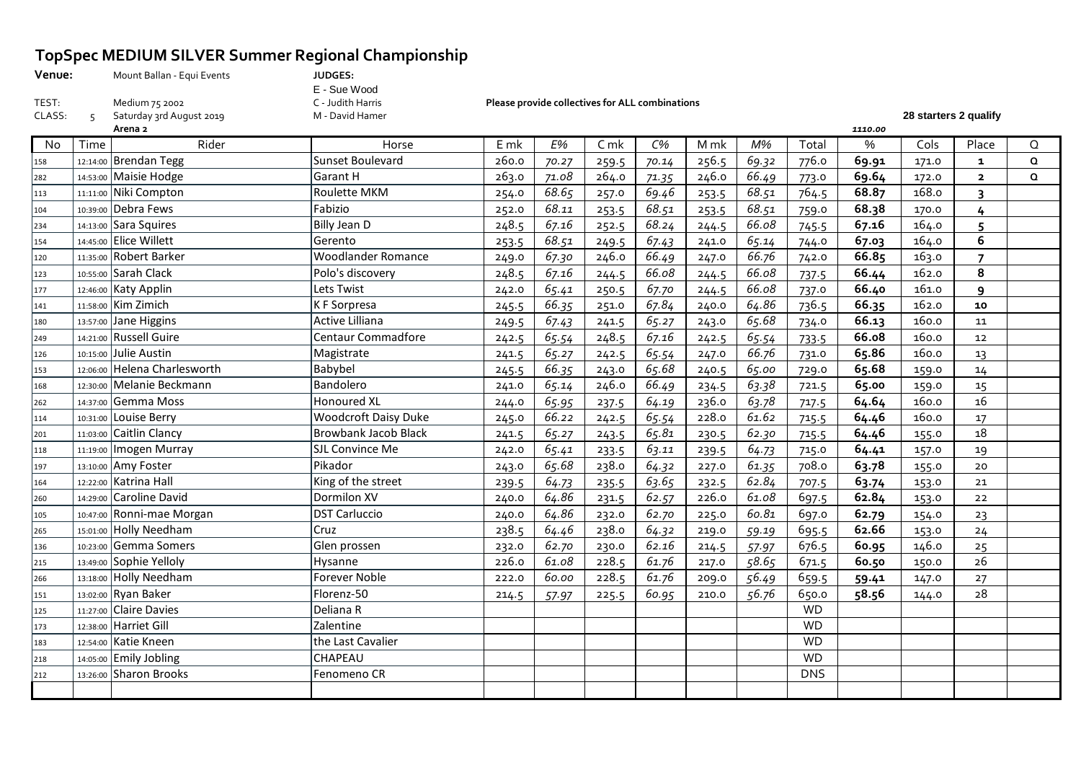## **TopSpec MEDIUM SILVER Summer Regional Championship**

| Venue: | Mount Ballan - Equi Events | <b>JUDGES:</b><br>E - Sue Wood |                                                        |                       |
|--------|----------------------------|--------------------------------|--------------------------------------------------------|-----------------------|
| TEST:  | Medium 75 2002             | C - Judith Harris              | <b>Please provide collectives for ALL combinations</b> |                       |
| CLASS: | Saturday 3rd August 2019   | M - David Hamer                |                                                        | 28 starters 2 qualify |

|           |          | Arena 2                      |                             |       |       |                |       |       |       |            | 1110.00 |       |                          |          |
|-----------|----------|------------------------------|-----------------------------|-------|-------|----------------|-------|-------|-------|------------|---------|-------|--------------------------|----------|
| <b>No</b> | Time     | Rider                        | Horse                       | E mk  | E%    | C <sub>m</sub> | $C\%$ | M mk  | M%    | Total      | %       | Cols  | Place                    | $\Omega$ |
| 158       |          | 12:14:00 Brendan Tegg        | Sunset Boulevard            | 260.0 | 70.27 | 259.5          | 70.14 | 256.5 | 69.32 | 776.0      | 69.91   | 171.0 | $\mathbf{1}$             | $\Omega$ |
| 282       |          | 14:53:00 Maisie Hodge        | Garant H                    | 263.0 | 71.08 | 264.0          | 71.35 | 246.0 | 66.49 | 773.0      | 69.64   | 172.0 | $\mathbf{2}$             | $\Omega$ |
| 113       |          | 11:11:00 Niki Compton        | <b>Roulette MKM</b>         | 254.0 | 68.65 | 257.0          | 69.46 | 253.5 | 68.51 | 764.5      | 68.87   | 168.0 | 3                        |          |
| 104       |          | 10:39:00 Debra Fews          | Fabizio                     | 252.0 | 68.11 | 253.5          | 68.51 | 253.5 | 68.51 | 759.0      | 68.38   | 170.0 | 4                        |          |
| 234       |          | 14:13:00 Sara Squires        | Billy Jean D                | 248.5 | 67.16 | 252.5          | 68.24 | 244.5 | 66.08 | 745.5      | 67.16   | 164.0 | 5                        |          |
| 154       |          | 14:45:00 Elice Willett       | Gerento                     | 253.5 | 68.51 | 249.5          | 67.43 | 241.0 | 65.14 | 744.0      | 67.03   | 164.0 | 6                        |          |
| 120       |          | 11:35:00 Robert Barker       | <b>Woodlander Romance</b>   | 249.0 | 67.30 | 246.0          | 66.49 | 247.0 | 66.76 | 742.0      | 66.85   | 163.0 | $\overline{\phantom{a}}$ |          |
| 123       |          | 10:55:00 Sarah Clack         | Polo's discovery            | 248.5 | 67.16 | 244.5          | 66.08 | 244.5 | 66.08 | 737.5      | 66.44   | 162.0 | 8                        |          |
| 177       |          | 12:46:00 Katy Applin         | Lets Twist                  | 242.0 | 65.41 | 250.5          | 67.70 | 244.5 | 66.08 | 737.0      | 66.40   | 161.0 | 9                        |          |
| 141       |          | 11:58:00 Kim Zimich          | K F Sorpresa                | 245.5 | 66.35 | 251.0          | 67.84 | 240.0 | 64.86 | 736.5      | 66.35   | 162.0 | 10                       |          |
| 180       |          | 13:57:00 Jane Higgins        | Active Lilliana             | 249.5 | 67.43 | 241.5          | 65.27 | 243.0 | 65.68 | 734.0      | 66.13   | 160.0 | 11                       |          |
| 249       |          | 14:21:00 Russell Guire       | Centaur Commadfore          | 242.5 | 65.54 | 248.5          | 67.16 | 242.5 | 65.54 | 733.5      | 66.08   | 160.0 | 12                       |          |
| 126       |          | 10:15:00 Julie Austin        | Magistrate                  | 241.5 | 65.27 | 242.5          | 65.54 | 247.0 | 66.76 | 731.0      | 65.86   | 160.0 | 13                       |          |
| 153       |          | 12:06:00 Helena Charlesworth | Babybel                     | 245.5 | 66.35 | 243.0          | 65.68 | 240.5 | 65.00 | 729.0      | 65.68   | 159.0 | 14                       |          |
| 168       |          | 12:30:00 Melanie Beckmann    | Bandolero                   | 241.0 | 65.14 | 246.0          | 66.49 | 234.5 | 63.38 | 721.5      | 65.00   | 159.0 | 15                       |          |
| 262       |          | 14:37:00 Gemma Moss          | <b>Honoured XL</b>          | 244.0 | 65.95 | 237.5          | 64.19 | 236.0 | 63.78 | 717.5      | 64.64   | 160.0 | 16                       |          |
| 114       |          | 10:31:00 Louise Berry        | Woodcroft Daisy Duke        | 245.0 | 66.22 | 242.5          | 65.54 | 228.0 | 61.62 | 715.5      | 64.46   | 160.0 | 17                       |          |
| 201       | 11:03:00 | Caitlin Clancy               | <b>Browbank Jacob Black</b> | 241.5 | 65.27 | 243.5          | 65.81 | 230.5 | 62.30 | 715.5      | 64.46   | 155.0 | 18                       |          |
| 118       | 11:19:00 | Imogen Murray                | <b>SJL Convince Me</b>      | 242.0 | 65.41 | 233.5          | 63.11 | 239.5 | 64.73 | 715.0      | 64.41   | 157.0 | 19                       |          |
| 197       |          | 13:10:00 Amy Foster          | Pikador                     | 243.0 | 65.68 | 238.0          | 64.32 | 227.0 | 61.35 | 708.0      | 63.78   | 155.0 | 20                       |          |
| 164       |          | 12:22:00 Katrina Hall        | King of the street          | 239.5 | 64.73 | 235.5          | 63.65 | 232.5 | 62.84 | 707.5      | 63.74   | 153.0 | 21                       |          |
| 260       |          | 14:29:00 Caroline David      | Dormilon XV                 | 240.0 | 64.86 | 231.5          | 62.57 | 226.0 | 61.08 | 697.5      | 62.84   | 153.0 | 22                       |          |
| 105       |          | 10:47:00 Ronni-mae Morgan    | <b>DST Carluccio</b>        | 240.0 | 64.86 | 232.0          | 62.70 | 225.0 | 60.81 | 697.0      | 62.79   | 154.0 | 23                       |          |
| 265       |          | 15:01:00 Holly Needham       | Cruz                        | 238.5 | 64.46 | 238.0          | 64.32 | 219.0 | 59.19 | 695.5      | 62.66   | 153.0 | 24                       |          |
| 136       |          | 10:23:00 Gemma Somers        | Glen prossen                | 232.0 | 62.70 | 230.0          | 62.16 | 214.5 | 57.97 | 676.5      | 60.95   | 146.0 | 25                       |          |
| 215       |          | 13:49:00 Sophie Yelloly      | Hysanne                     | 226.0 | 61.08 | 228.5          | 61.76 | 217.0 | 58.65 | 671.5      | 60.50   | 150.0 | 26                       |          |
| 266       |          | 13:18:00 Holly Needham       | <b>Forever Noble</b>        | 222.0 | 60.00 | 228.5          | 61.76 | 209.0 | 56.49 | 659.5      | 59.41   | 147.0 | 27                       |          |
| 151       |          | 13:02:00 Ryan Baker          | Florenz-50                  | 214.5 | 57.97 | 225.5          | 60.95 | 210.0 | 56.76 | 650.0      | 58.56   | 144.0 | 28                       |          |
| 125       |          | $11:27:00$ Claire Davies     | Deliana R                   |       |       |                |       |       |       | <b>WD</b>  |         |       |                          |          |
| 173       |          | 12:38:00 Harriet Gill        | Zalentine                   |       |       |                |       |       |       | <b>WD</b>  |         |       |                          |          |
| 183       |          | 12:54:00 Katie Kneen         | the Last Cavalier           |       |       |                |       |       |       | <b>WD</b>  |         |       |                          |          |
| 218       |          | 14:05:00 Emily Jobling       | CHAPEAU                     |       |       |                |       |       |       | <b>WD</b>  |         |       |                          |          |
| 212       |          | 13:26:00 Sharon Brooks       | Fenomeno CR                 |       |       |                |       |       |       | <b>DNS</b> |         |       |                          |          |
|           |          |                              |                             |       |       |                |       |       |       |            |         |       |                          |          |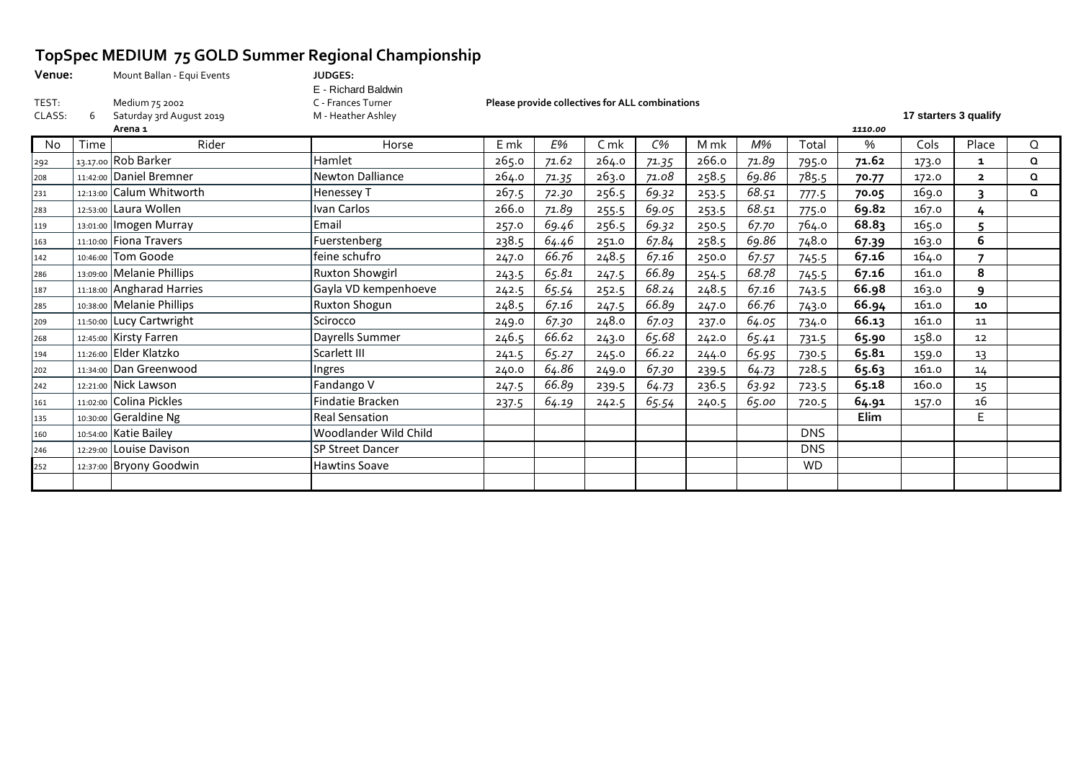# **TopSpec MEDIUM 75 GOLD Summer Regional Championship**<br>Venue: Mount Ballan - Equi Events JUDGES:

| Venue: | Mount Ballan - Equi Events | <b>JUDGES:</b>      |                                                 |                       |
|--------|----------------------------|---------------------|-------------------------------------------------|-----------------------|
|        |                            | E - Richard Baldwin |                                                 |                       |
| TEST:  | Medium 75 2002             | こ - Frances Turner  | Please provide collectives for ALL combinations |                       |
| CLASS: | Saturday 3rd August 2019   | M - Heather Ashley  |                                                 | 17 starters 3 qualify |

**Venue:** Mount Ballan - Equi Events **JUDGES:**  E - Richard Baldwin

|     |      | Arena 1                   |                         |       |       |       |       |       |       |            | 1110.00 |       |                |          |
|-----|------|---------------------------|-------------------------|-------|-------|-------|-------|-------|-------|------------|---------|-------|----------------|----------|
| No  | Time | Rider                     | Horse                   | E mk  | E%    | C mk  | $C\%$ | M mk  | M%    | Total      | %       | Cols  | Place          | Q        |
| 292 |      | 13.17.00 Rob Barker       | Hamlet                  | 265.0 | 71.62 | 264.0 | 71.35 | 266.0 | 71.89 | 795.0      | 71.62   | 173.0 | 1              | $\Omega$ |
| 208 |      | 11:42:00 Daniel Bremner   | Newton Dalliance        | 264.0 | 71.35 | 263.0 | 71.08 | 258.5 | 69.86 | 785.5      | 70.77   | 172.0 | $\overline{2}$ | $\Omega$ |
| 231 |      | 12:13:00 Calum Whitworth  | Henessey T              | 267.5 | 72.30 | 256.5 | 69.32 | 253.5 | 68.51 | 777.5      | 70.05   | 169.0 |                | $\Omega$ |
| 283 |      | 12:53:00 Laura Wollen     | Ivan Carlos             | 266.0 | 71.89 | 255.5 | 69.05 | 253.5 | 68.51 | 775.0      | 69.82   | 167.0 | 4              |          |
| 119 |      | 13:01:00   Imogen Murray  | Email                   | 257.0 | 69.46 | 256.5 | 69.32 | 250.5 | 67.70 | 764.0      | 68.83   | 165.0 | 5              |          |
| 163 |      | 11:10:00 Fiona Travers    | Fuerstenberg            | 238.5 | 64.46 | 251.0 | 67.84 | 258.5 | 69.86 | 748.0      | 67.39   | 163.0 | 6              |          |
| 142 |      | 10:46:00 Tom Goode        | feine schufro           | 247.0 | 66.76 | 248.5 | 67.16 | 250.0 | 67.57 | 745.5      | 67.16   | 164.0 |                |          |
| 286 |      | 13:09:00 Melanie Phillips | <b>Ruxton Showgirl</b>  | 243.5 | 65.81 | 247.5 | 66.89 | 254.5 | 68.78 | 745.5      | 67.16   | 161.0 | 8              |          |
| 187 |      | 11:18:00 Angharad Harries | Gayla VD kempenhoeve    | 242.5 | 65.54 | 252.5 | 68.24 | 248.5 | 67.16 | 743.5      | 66.98   | 163.0 | ٩              |          |
| 285 |      | 10:38:00 Melanie Phillips | <b>Ruxton Shogun</b>    | 248.5 | 67.16 | 247.5 | 66.89 | 247.0 | 66.76 | 743.0      | 66.94   | 161.0 | 10             |          |
| 209 |      | 11:50:00 Lucy Cartwright  | Scirocco                | 249.0 | 67.30 | 248.0 | 67.03 | 237.0 | 64.05 | 734.0      | 66.13   | 161.0 | 11             |          |
| 268 |      | 12:45:00 Kirsty Farren    | Dayrells Summer         | 246.5 | 66.62 | 243.0 | 65.68 | 242.0 | 65.41 | 731.5      | 65.90   | 158.0 | 12             |          |
| 194 |      | $11:26:00$ Elder Klatzko  | Scarlett III            | 241.5 | 65.27 | 245.0 | 66.22 | 244.0 | 65.95 | 730.5      | 65.81   | 159.0 | 13             |          |
| 202 |      | 11:34:00 Dan Greenwood    | Ingres                  | 240.0 | 64.86 | 249.0 | 67.30 | 239.5 | 64.73 | 728.5      | 65.63   | 161.0 | 14             |          |
| 242 |      | 12:21:00 Nick Lawson      | Fandango V              | 247.5 | 66.89 | 239.5 | 64.73 | 236.5 | 63.92 | 723.5      | 65.18   | 160.0 | 15             |          |
| 161 |      | 11:02:00 Colina Pickles   | Findatie Bracken        | 237.5 | 64.19 | 242.5 | 65.54 | 240.5 | 65.00 | 720.5      | 64.91   | 157.0 | 16             |          |
| 135 |      | 10:30:00 Geraldine Ng     | <b>Real Sensation</b>   |       |       |       |       |       |       |            | Elim    |       | E.             |          |
| 160 |      | 10:54:00 Katie Bailey     | Woodlander Wild Child   |       |       |       |       |       |       | <b>DNS</b> |         |       |                |          |
| 246 |      | 12:29:00 Louise Davison   | <b>SP Street Dancer</b> |       |       |       |       |       |       | <b>DNS</b> |         |       |                |          |
| 252 |      | 12:37:00 Bryony Goodwin   | <b>Hawtins Soave</b>    |       |       |       |       |       |       | <b>WD</b>  |         |       |                |          |
|     |      |                           |                         |       |       |       |       |       |       |            |         |       |                |          |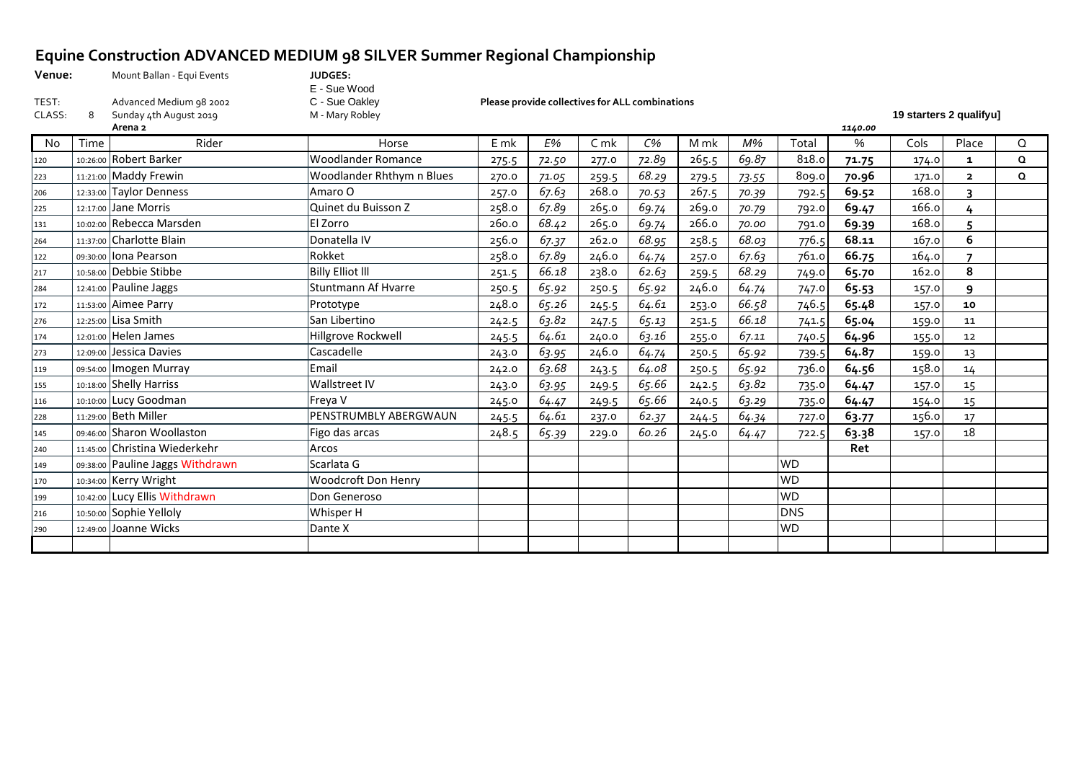## **Equine Construction ADVANCED MEDIUM 98 SILVER Summer Regional Championship**

**Venue:** Mount Ballan - Equi Events **JUDGES:** 

E - Sue Wood<br>C - Sue Oakley and the Classical Sunday 4th August 2019 M - Mary Robley **19 starters 2 qualifyu]** 

TEST: Advanced Medium 98 2002 C - Sue Oakley **Please provide collectives for ALL combinations**

|     |      | Arena 2                          |                            |        |       |                |       |       |       |            | 1140.00 |       |                          |          |
|-----|------|----------------------------------|----------------------------|--------|-------|----------------|-------|-------|-------|------------|---------|-------|--------------------------|----------|
| No. | Time | Rider                            | Horse                      | $E$ mk | E%    | C <sub>m</sub> | $C\%$ | M mk  | $M\%$ | Total      | $\%$    | Cols  | Place                    | Q        |
| 120 |      | 10:26:00 Robert Barker           | <b>Woodlander Romance</b>  | 275.5  | 72.50 | 277.0          | 72.89 | 265.5 | 69.87 | 818.0      | 71.75   | 174.0 | $\mathbf{1}$             | $\Omega$ |
| 223 |      | 11:21:00 Maddy Frewin            | Woodlander Rhthym n Blues  | 270.0  | 71.05 | 259.5          | 68.29 | 279.5 | 73.55 | 809.0      | 70.96   | 171.0 | $\overline{2}$           | $\Omega$ |
| 206 |      | 12:33:00 Taylor Denness          | Amaro O                    | 257.0  | 67.63 | 268.0          | 70.53 | 267.5 | 70.39 | 792.5      | 69.52   | 168.0 | 3                        |          |
| 225 |      | $12:17:00$ Jane Morris           | Quinet du Buisson Z        | 258.0  | 67.89 | 265.0          | 69.74 | 269.0 | 70.79 | 792.0      | 69.47   | 166.0 | 4                        |          |
| 131 |      | 10:02:00 Rebecca Marsden         | <b>El Zorro</b>            | 260.0  | 68.42 | 265.0          | 69.74 | 266.0 | 70.00 | 791.0      | 69.39   | 168.0 | 5                        |          |
| 264 |      | 11:37:00 Charlotte Blain         | Donatella IV               | 256.0  | 67.37 | 262.0          | 68.95 | 258.5 | 68.03 | 776.5      | 68.11   | 167.0 | 6                        |          |
| 122 |      | 09:30:00 Iona Pearson            | Rokket                     | 258.0  | 67.89 | 246.0          | 64.74 | 257.0 | 67.63 | 761.0      | 66.75   | 164.0 | $\overline{\phantom{a}}$ |          |
| 217 |      | 10:58:00 Debbie Stibbe           | <b>Billy Elliot III</b>    | 251.5  | 66.18 | 238.0          | 62.63 | 259.5 | 68.29 | 749.0      | 65.70   | 162.0 | 8                        |          |
| 284 |      | 12:41:00 Pauline Jaggs           | <b>Stuntmann Af Hvarre</b> | 250.5  | 65.92 | 250.5          | 65.92 | 246.0 | 64.74 | 747.0      | 65.53   | 157.0 | 9                        |          |
| 172 |      | 11:53:00 Aimee Parry             | Prototype                  | 248.0  | 65.26 | 245.5          | 64.61 | 253.0 | 66.58 | 746.5      | 65.48   | 157.0 | 10                       |          |
| 276 |      | 12:25:00 Lisa Smith              | San Libertino              | 242.5  | 63.82 | 247.5          | 65.13 | 251.5 | 66.18 | 741.5      | 65.04   | 159.0 | 11                       |          |
| 174 |      | 12:01:00 Helen James             | Hillgrove Rockwell         | 245.5  | 64.61 | 240.0          | 63.16 | 255.0 | 67.11 | 740.5      | 64.96   | 155.0 | 12                       |          |
| 273 |      | 12:09:00 Jessica Davies          | Cascadelle                 | 243.0  | 63.95 | 246.0          | 64.74 | 250.5 | 65.92 | 739.5      | 64.87   | 159.0 | 13                       |          |
| 119 |      | 09:54:00   Imogen Murray         | Email                      | 242.0  | 63.68 | 243.5          | 64.08 | 250.5 | 65.92 | 736.0      | 64.56   | 158.0 | 14                       |          |
| 155 |      | 10:18:00 Shelly Harriss          | Wallstreet IV              | 243.0  | 63.95 | 249.5          | 65.66 | 242.5 | 63.82 | 735.0      | 64.47   | 157.0 | 15                       |          |
| 116 |      | 10:10:00 Lucy Goodman            | Freya V                    | 245.0  | 64.47 | 249.5          | 65.66 | 240.5 | 63.29 | 735.0      | 64.47   | 154.0 | 15                       |          |
| 228 |      | 11:29:00 Beth Miller             | PENSTRUMBLY ABERGWAUN      | 245.5  | 64.61 | 237.0          | 62.37 | 244.5 | 64.34 | 727.0      | 63.77   | 156.0 | 17                       |          |
| 145 |      | 09:46:00 Sharon Woollaston       | Figo das arcas             | 248.5  | 65.39 | 229.0          | 60.26 | 245.0 | 64.47 | 722.5      | 63.38   | 157.0 | 18                       |          |
| 240 |      | 11:45:00 Christina Wiederkehr    | Arcos                      |        |       |                |       |       |       |            | Ret     |       |                          |          |
| 149 |      | 09:38:00 Pauline Jaggs Withdrawn | Scarlata G                 |        |       |                |       |       |       | <b>WD</b>  |         |       |                          |          |
| 170 |      | 10:34:00 Kerry Wright            | Woodcroft Don Henry        |        |       |                |       |       |       | <b>WD</b>  |         |       |                          |          |
| 199 |      | 10:42:00 Lucy Ellis Withdrawn    | Don Generoso               |        |       |                |       |       |       | <b>WD</b>  |         |       |                          |          |
| 216 |      | 10:50:00 Sophie Yelloly          | Whisper H                  |        |       |                |       |       |       | <b>DNS</b> |         |       |                          |          |
| 290 |      | 12:49:00 Joanne Wicks            | Dante X                    |        |       |                |       |       |       | <b>WD</b>  |         |       |                          |          |
|     |      |                                  |                            |        |       |                |       |       |       |            |         |       |                          |          |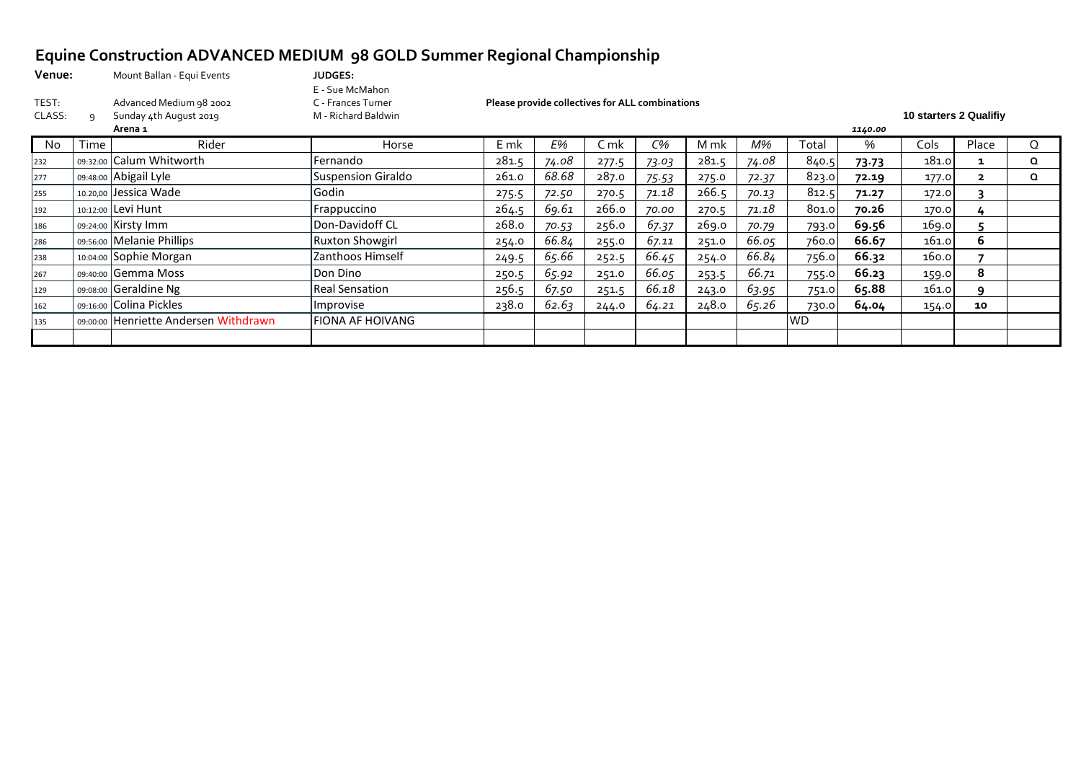# **Equine Construction ADVANCED MEDIUM 98 GOLD Summer Regional Championship**

| Venue:          |      | Mount Ballan - Equi Events                                   | <b>JUDGES:</b>                                               |                                                            |       |       |       |       |       |           |       |                        |              |          |  |  |
|-----------------|------|--------------------------------------------------------------|--------------------------------------------------------------|------------------------------------------------------------|-------|-------|-------|-------|-------|-----------|-------|------------------------|--------------|----------|--|--|
| TEST:<br>CLASS: |      | Advanced Medium 98 2002<br>Sunday 4th August 2019<br>Arena 1 | E - Sue McMahon<br>C - Frances Turner<br>M - Richard Baldwin | Please provide collectives for ALL combinations<br>1140.00 |       |       |       |       |       |           |       | 10 starters 2 Qualifiy |              |          |  |  |
| No.             | Time | Rider                                                        | Horse                                                        | $E$ mk                                                     | E%    | C mk  | $C\%$ | M mk  | M%    | Total     | %     | Cols                   | Place        | Q        |  |  |
| 232             |      | 09:32:00 Calum Whitworth                                     | Fernando                                                     | 281.5                                                      | 74.08 | 277.5 | 73.03 | 281.5 | 74.08 | 840.5     | 73.73 | 181.0                  | 1            | $\Omega$ |  |  |
| 277             |      | 09:48:00 Abigail Lyle                                        | Suspension Giraldo                                           | 261.0                                                      | 68.68 | 287.0 | 75.53 | 275.0 | 72.37 | 823.0     | 72.19 | 177.0                  | $\mathbf{z}$ | Q        |  |  |
| 255             |      | 10.20,00 Jessica Wade                                        | Godin                                                        | 275.5                                                      | 72.50 | 270.5 | 71.18 | 266.5 | 70.13 | 812.5     | 71.27 | 172.0                  |              |          |  |  |
| 192             |      | 10:12:00 Levi Hunt                                           | Frappuccino                                                  | 264.5                                                      | 69.61 | 266.0 | 70.00 | 270.5 | 71.18 | 801.0     | 70.26 | 170.0                  | 4            |          |  |  |
| 186             |      | 09:24:00 Kirsty Imm                                          | Don-Davidoff CL                                              | 268.0                                                      | 70.53 | 256.0 | 67.37 | 269.0 | 70.79 | 793.0     | 69.56 | 169.0                  |              |          |  |  |
| 286             |      | 09:56:00 Melanie Phillips                                    | Ruxton Showgirl                                              | 254.0                                                      | 66.84 | 255.0 | 67.11 | 251.0 | 66.05 | 760.0     | 66.67 | 161.0                  | 6            |          |  |  |
| 238             |      | 10:04:00 Sophie Morgan                                       | Zanthoos Himself                                             | 249.5                                                      | 65.66 | 252.5 | 66.45 | 254.0 | 66.84 | 756.0     | 66.32 | 160.0                  |              |          |  |  |
| 267             |      | 09:40:00 Gemma Moss                                          | Don Dino                                                     | 250.5                                                      | 65.92 | 251.0 | 66.05 | 253.5 | 66.71 | 755.0     | 66.23 | 159.0                  | 8            |          |  |  |
| 129             |      | 09:08:00 Geraldine Ng                                        | <b>Real Sensation</b>                                        | 256.5                                                      | 67.50 | 251.5 | 66.18 | 243.0 | 63.95 | 751.0     | 65.88 | 161.0                  | q            |          |  |  |
| 162             |      | 09:16:00 Colina Pickles                                      | Improvise                                                    | 238.0                                                      | 62.63 | 244.0 | 64.21 | 248.0 | 65.26 | 730.0     | 64.04 | 154.0                  | 10           |          |  |  |
| 135             |      | 09:00:00 Henriette Andersen Withdrawn                        | <b>FIONA AF HOIVANG</b>                                      |                                                            |       |       |       |       |       | <b>WD</b> |       |                        |              |          |  |  |
|                 |      |                                                              |                                                              |                                                            |       |       |       |       |       |           |       |                        |              |          |  |  |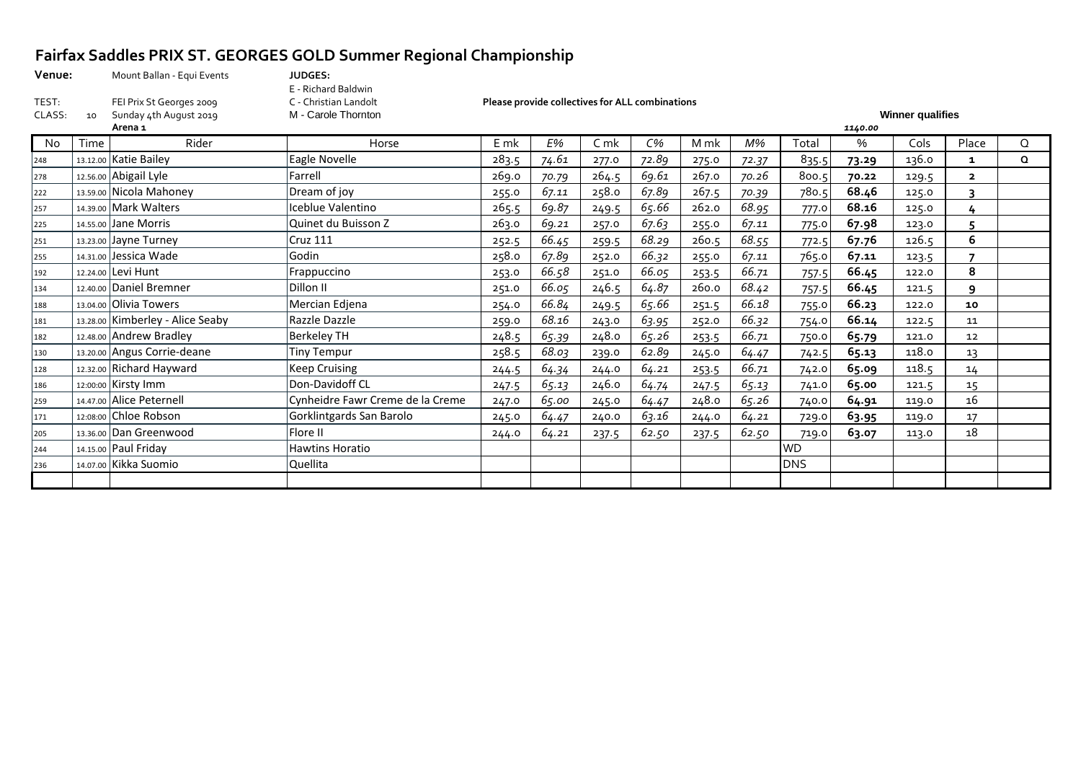# **Fairfax Saddles PRIX ST. GEORGES GOLD Summer Regional Championship**

| venue: |    | Mount Ballan - Equi Events | JUDGES:               |                                                 |                         |
|--------|----|----------------------------|-----------------------|-------------------------------------------------|-------------------------|
|        |    |                            | E - Richard Baldwin   |                                                 |                         |
| TEST:  |    | FEI Prix St Georges 2009   | C - Christian Landolt | Please provide collectives for ALL combinations |                         |
| CLASS: | 10 | Sunday 4th August 2019     | M - Carole Thornton   |                                                 | <b>Winner qualifies</b> |
|        |    |                            |                       |                                                 |                         |

ents **JUDGES:** E - Richard Baldwin<br>C - Christian Landolt

|     | Arena 1 |                                  |                                  |        |           | 1140.00 |       |       |       |            |       |       |                          |   |  |  |  |
|-----|---------|----------------------------------|----------------------------------|--------|-----------|---------|-------|-------|-------|------------|-------|-------|--------------------------|---|--|--|--|
| No. | Time    | Rider                            | Horse                            | $E$ mk | <b>E%</b> | C mk    | $C\%$ | M mk  | M%    | Total      | %     | Cols  | Place                    | Q |  |  |  |
| 248 |         | 13.12.00 Katie Bailey            | Eagle Novelle                    | 283.5  | 74.61     | 277.0   | 72.89 | 275.0 | 72.37 | 835.5      | 73.29 | 136.0 | 1                        | Q |  |  |  |
| 278 |         | 12.56.00 Abigail Lyle            | Farrell                          | 269.0  | 70.79     | 264.5   | 69.61 | 267.0 | 70.26 | 800.5      | 70.22 | 129.5 | $\overline{2}$           |   |  |  |  |
| 222 |         | 13.59.00 Nicola Mahoney          | Dream of joy                     | 255.0  | 67.11     | 258.0   | 67.89 | 267.5 | 70.39 | 780.5      | 68.46 | 125.0 | 3                        |   |  |  |  |
| 257 |         | 14.39.00 Mark Walters            | Iceblue Valentino                | 265.5  | 69.87     | 249.5   | 65.66 | 262.0 | 68.95 | 777.0      | 68.16 | 125.0 |                          |   |  |  |  |
| 225 |         | 14.55.00 Jane Morris             | Quinet du Buisson Z              | 263.0  | 69.21     | 257.0   | 67.63 | 255.0 | 67.11 | 775.0      | 67.98 | 123.0 |                          |   |  |  |  |
| 251 |         | 13.23.00 Jayne Turney            | <b>Cruz 111</b>                  | 252.5  | 66.45     | 259.5   | 68.29 | 260.5 | 68.55 | 772.5      | 67.76 | 126.5 | 6                        |   |  |  |  |
| 255 |         | 14.31.00 Jessica Wade            | Godin                            | 258.0  | 67.89     | 252.0   | 66.32 | 255.0 | 67.11 | 765.0      | 67.11 | 123.5 | $\overline{\phantom{a}}$ |   |  |  |  |
| 192 |         | 12.24.00 Levi Hunt               | Frappuccino                      | 253.0  | 66.58     | 251.0   | 66.05 | 253.5 | 66.71 | 757.5      | 66.45 | 122.0 | 8                        |   |  |  |  |
| 134 |         | 12.40.00 Daniel Bremner          | Dillon II                        | 251.0  | 66.05     | 246.5   | 64.87 | 260.0 | 68.42 | 757.5      | 66.45 | 121.5 | 9                        |   |  |  |  |
| 188 |         | 13.04.00 Olivia Towers           | Mercian Edjena                   | 254.0  | 66.84     | 249.5   | 65.66 | 251.5 | 66.18 | 755.0      | 66.23 | 122.0 | 10                       |   |  |  |  |
| 181 |         | 13.28.00 Kimberley - Alice Seaby | Razzle Dazzle                    | 259.0  | 68.16     | 243.0   | 63.95 | 252.0 | 66.32 | 754.0      | 66.14 | 122.5 | 11                       |   |  |  |  |
| 182 |         | 12.48.00 Andrew Bradley          | <b>Berkeley TH</b>               | 248.5  | 65.39     | 248.0   | 65.26 | 253.5 | 66.71 | 750.0      | 65.79 | 121.0 | 12                       |   |  |  |  |
| 130 |         | 13.20.00 Angus Corrie-deane      | <b>Tiny Tempur</b>               | 258.5  | 68.03     | 239.0   | 62.89 | 245.0 | 64.47 | 742.5      | 65.13 | 118.0 | 13                       |   |  |  |  |
| 128 |         | 12.32.00 Richard Hayward         | <b>Keep Cruising</b>             | 244.5  | 64.34     | 244.0   | 64.21 | 253.5 | 66.71 | 742.0      | 65.09 | 118.5 | 14                       |   |  |  |  |
| 186 |         | 12:00:00 Kirsty Imm              | Don-Davidoff CL                  | 247.5  | 65.13     | 246.0   | 64.74 | 247.5 | 65.13 | 741.0      | 65.00 | 121.5 | 15                       |   |  |  |  |
| 259 |         | 14.47.00 Alice Peternell         | Cynheidre Fawr Creme de la Creme | 247.0  | 65.00     | 245.0   | 64.47 | 248.0 | 65.26 | 740.0      | 64.91 | 119.0 | 16                       |   |  |  |  |
| 171 |         | 12:08:00 Chloe Robson            | Gorklintgards San Barolo         | 245.0  | 64.47     | 240.0   | 63.16 | 244.0 | 64.21 | 729.0      | 63.95 | 119.0 | 17                       |   |  |  |  |
| 205 |         | 13.36.00 Dan Greenwood           | Flore II                         | 244.0  | 64.21     | 237.5   | 62.50 | 237.5 | 62.50 | 719.0      | 63.07 | 113.0 | 18                       |   |  |  |  |
| 244 |         | 14.15.00 Paul Friday             | Hawtins Horatio                  |        |           |         |       |       |       | <b>WD</b>  |       |       |                          |   |  |  |  |
| 236 |         | 14.07.00 Kikka Suomio            | Quellita                         |        |           |         |       |       |       | <b>DNS</b> |       |       |                          |   |  |  |  |
|     |         |                                  |                                  |        |           |         |       |       |       |            |       |       |                          |   |  |  |  |